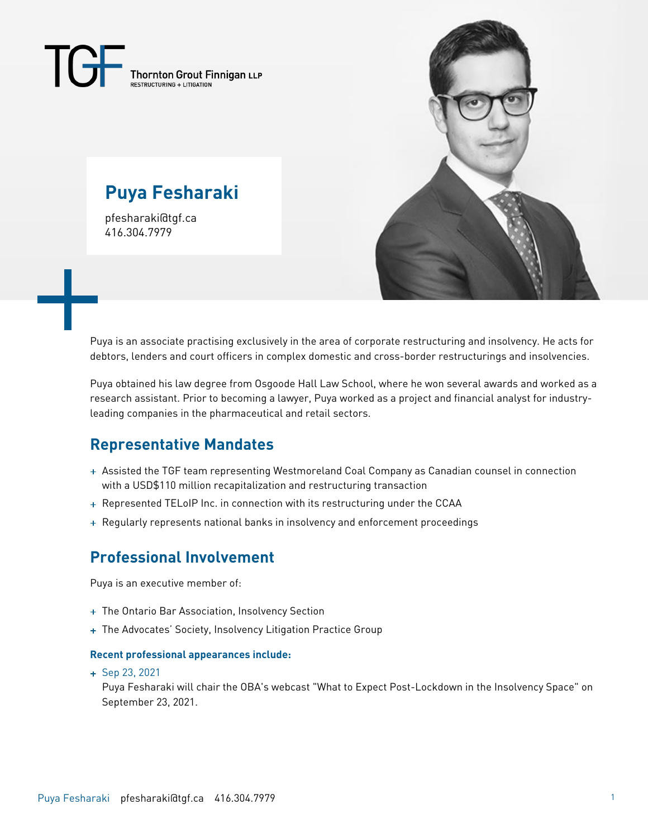$\overline{\mathcal{L}}$ Thornton Grout Finnigan LLP

# **Puya Fesharaki**

pfesharaki@tgf.ca 416.304.7979



Puya is an associate practising exclusively in the area of corporate restructuring and insolvency. He acts for debtors, lenders and court officers in complex domestic and cross-border restructurings and insolvencies.

Puya obtained his law degree from Osgoode Hall Law School, where he won several awards and worked as a research assistant. Prior to becoming a lawyer, Puya worked as a project and financial analyst for industryleading companies in the pharmaceutical and retail sectors.

### **Representative Mandates**

- Assisted the TGF team representing Westmoreland Coal Company as Canadian counsel in connection with a USD\$110 million recapitalization and restructuring transaction
- + Represented TELoIP Inc. in connection with its restructuring under the CCAA
- + Regularly represents national banks in insolvency and enforcement proceedings

### **Professional Involvement**

Puya is an executive member of:

- + The Ontario Bar Association, Insolvency Section
- + The Advocates' Society, Insolvency Litigation Practice Group

#### **Recent professional appearances include:**

+ Sep 23, 2021

Puya Fesharaki will chair the OBA's webcast "What to Expect Post-Lockdown in the Insolvency Space" on September 23, 2021.